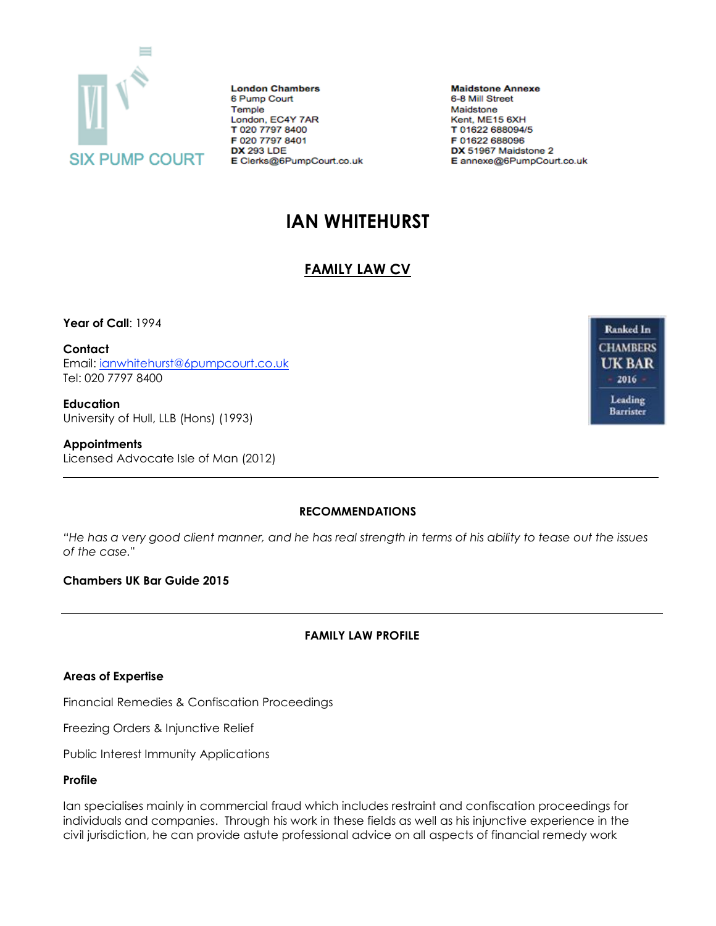

**London Chambers** 6 Pump Court Temple London, EC4Y 7AR T 020 7797 8400 F 020 7797 8401 **DX 293 LDE** E Clerks@6PumpCourt.co.uk **Maidstone Annexe** 6-8 Mill Street Maidstone Kent, ME15 6XH T 01622 688094/5 F 01622 688096 DX 51967 Maidstone 2 E annexe@6PumpCourt.co.uk

# **IAN WHITEHURST**

## **FAMILY LAW CV**

**Year of Call**: 1994

**Contact** Email: [ianwhitehurst@6pumpcourt.co.uk](mailto:ianwhitehurst@6pumpcourt.co.uk) Tel: 020 7797 8400

**Education** University of Hull, LLB (Hons) (1993)

**Appointments** Licensed Advocate Isle of Man (2012)

**Ranked In CHAMBERS UK BAR** 2016 -Leading **Barrister** 

#### **RECOMMENDATIONS**

*"He has a very good client manner, and he has real strength in terms of his ability to tease out the issues of the case."*

#### **Chambers UK Bar Guide 2015**

### **FAMILY LAW PROFILE**

#### **Areas of Expertise**

Financial Remedies & Confiscation Proceedings

Freezing Orders & Injunctive Relief

Public Interest Immunity Applications

#### **Profile**

Ian specialises mainly in commercial fraud which includes restraint and confiscation proceedings for individuals and companies. Through his work in these fields as well as his injunctive experience in the civil jurisdiction, he can provide astute professional advice on all aspects of financial remedy work